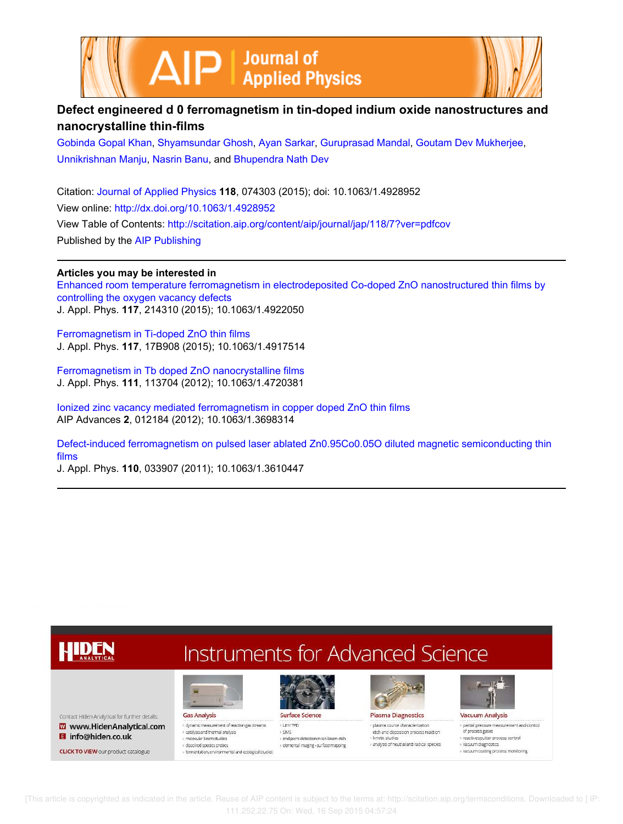



# **Defect engineered d 0 ferromagnetism in tin-doped indium oxide nanostructures and nanocrystalline thin-films**

Gobinda Gopal Khan, Shyamsundar Ghosh, Ayan Sarkar, Guruprasad Mandal, Goutam Dev Mukherjee, Unnikrishnan Manju, Nasrin Banu, and Bhupendra Nath Dev

Citation: Journal of Applied Physics **118**, 074303 (2015); doi: 10.1063/1.4928952 View online: http://dx.doi.org/10.1063/1.4928952 View Table of Contents: http://scitation.aip.org/content/aip/journal/jap/118/7?ver=pdfcov Published by the AIP Publishing

# **Articles you may be interested in**

Enhanced room temperature ferromagnetism in electrodeposited Co-doped ZnO nanostructured thin films by controlling the oxygen vacancy defects J. Appl. Phys. **117**, 214310 (2015); 10.1063/1.4922050

Ferromagnetism in Ti-doped ZnO thin films J. Appl. Phys. **117**, 17B908 (2015); 10.1063/1.4917514

Ferromagnetism in Tb doped ZnO nanocrystalline films J. Appl. Phys. **111**, 113704 (2012); 10.1063/1.4720381

Ionized zinc vacancy mediated ferromagnetism in copper doped ZnO thin films AIP Advances **2**, 012184 (2012); 10.1063/1.3698314

Defect-induced ferromagnetism on pulsed laser ablated Zn0.95Co0.05O diluted magnetic semiconducting thin films

J. Appl. Phys. **110**, 033907 (2011); 10.1063/1.3610447

#### **Instruments for Advanced Science** HDEN Surface Science **Gas Analysis Plasma Diagnostics** Contact Hiden Analytical for further details: **Vacuum Analysis** · dynamic measurement of reaction gas streams · plasma source characterization · partial pressure measurement and control Www.HidenAnalytical.com + UHV TPD etch and deposition process reaction of process gases catalysis and thermal analysis  $\rightarrow$  SIMS **El** info@hiden.co.uk molecular beam studies end point detection in ion beam etch · kinetic studies » reactive soutter process control analysis of neutral and radical species  $\sqrt{2}$  vacuum diagnostics » elemental imaging - surface mapping ssalved species probes **CLICK TO VIEW** our product catalogue » vacuum coating process monitoring fermentation, environmental and ecological studies

 [This article is copyrighted as indicated in the article. Reuse of AIP content is subject to the terms at: http://scitation.aip.org/termsconditions. Downloaded to ] IP: 111.252.22.75 On: Wed, 16 Sep 2015 04:57:24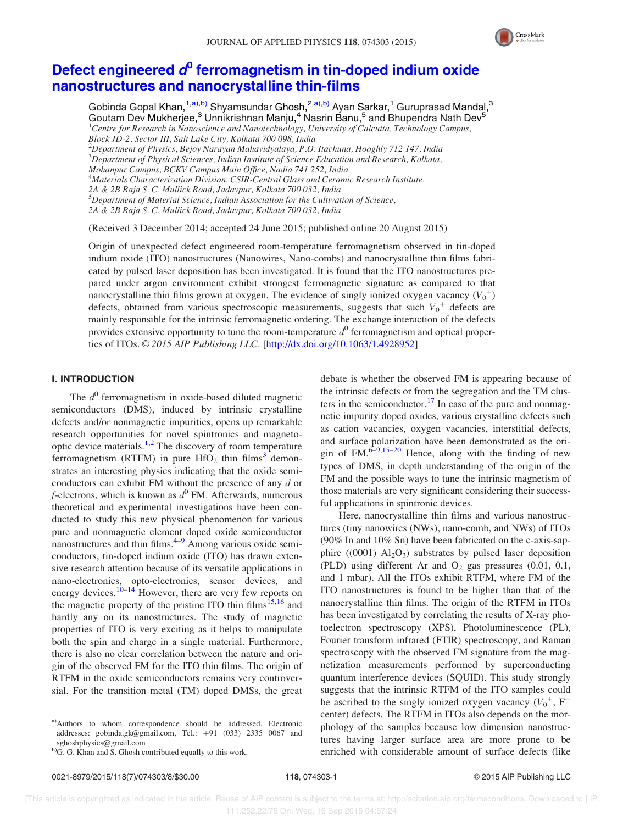

# Defect engineered  $\boldsymbol{d^0}$  ferromagnetism in tin-doped indium oxide nanostructures and nanocrystalline thin-films

Gobinda Gopal Khan,<sup>1,a),b)</sup> Shyamsundar Ghosh,<sup>2,a),b)</sup> Ayan Sarkar,<sup>1</sup> Guruprasad Mandal,<sup>3</sup> Goutam Dev Mukherjee,<sup>3</sup> Unnikrishnan Manju,<sup>4</sup> Nasrin Banu,<sup>5</sup> and Bhupendra Nath Dev<sup>5</sup>  ${}^{1}$ Centre for Research in Nanoscience and Nanotechnology, University of Calcutta, Technology Campus, Block JD-2, Sector III, Salt Lake City, Kolkata 700 098, India  $^{2}$ Department of Physics, Bejoy Narayan Mahavidyalaya, P.O. Itachuna, Hooghly 712 147, India  ${}^{3}$ Department of Physical Sciences, Indian Institute of Science Education and Research, Kolkata, Mohanpur Campus, BCKV Campus Main Office, Nadia 741 252, India <sup>4</sup>Materials Characterization Division, CSIR-Central Glass and Ceramic Research Institute, 2A & 2B Raja S. C. Mullick Road, Jadavpur, Kolkata 700 032, India <sup>5</sup>Department of Material Science, Indian Association for the Cultivation of Science,

2A & 2B Raja S. C. Mullick Road, Jadavpur, Kolkata 700 032, India

(Received 3 December 2014; accepted 24 June 2015; published online 20 August 2015)

Origin of unexpected defect engineered room-temperature ferromagnetism observed in tin-doped indium oxide (ITO) nanostructures (Nanowires, Nano-combs) and nanocrystalline thin films fabricated by pulsed laser deposition has been investigated. It is found that the ITO nanostructures prepared under argon environment exhibit strongest ferromagnetic signature as compared to that nanocrystalline thin films grown at oxygen. The evidence of singly ionized oxygen vacancy  $(V_0^+)$ defects, obtained from various spectroscopic measurements, suggests that such  $V_0^+$  defects are mainly responsible for the intrinsic ferromagnetic ordering. The exchange interaction of the defects provides extensive opportunity to tune the room-temperature  $d^0$  ferromagnetism and optical properties of ITOs.  $\odot$  2015 AIP Publishing LLC. [http://dx.doi.org/10.1063/1.4928952]

#### I. INTRODUCTION

The  $d^0$  ferromagnetism in oxide-based diluted magnetic semiconductors (DMS), induced by intrinsic crystalline defects and/or nonmagnetic impurities, opens up remarkable research opportunities for novel spintronics and magnetooptic device materials.<sup>1,2</sup> The discovery of room temperature ferromagnetism (RTFM) in pure  $HfO<sub>2</sub>$  thin films<sup>3</sup> demonstrates an interesting physics indicating that the oxide semiconductors can exhibit FM without the presence of any d or  $f$ -electrons, which is known as  $d^0$  FM. Afterwards, numerous theoretical and experimental investigations have been conducted to study this new physical phenomenon for various pure and nonmagnetic element doped oxide semiconductor nanostructures and thin films. $4-9$  Among various oxide semiconductors, tin-doped indium oxide (ITO) has drawn extensive research attention because of its versatile applications in nano-electronics, opto-electronics, sensor devices, and energy devices.<sup>10–14</sup> However, there are very few reports on the magnetic property of the pristine ITO thin films<sup>15,16</sup> and hardly any on its nanostructures. The study of magnetic properties of ITO is very exciting as it helps to manipulate both the spin and charge in a single material. Furthermore, there is also no clear correlation between the nature and origin of the observed FM for the ITO thin films. The origin of RTFM in the oxide semiconductors remains very controversial. For the transition metal (TM) doped DMSs, the great

a)Authors to whom correspondence should be addressed. Electronic addresses: gobinda.gk@gmail.com, Tel.: +91 (033) 2335 0067 and sghoshphysics@gmail.com

debate is whether the observed FM is appearing because of the intrinsic defects or from the segregation and the TM clusters in the semiconductor.<sup>17</sup> In case of the pure and nonmagnetic impurity doped oxides, various crystalline defects such as cation vacancies, oxygen vacancies, interstitial defects, and surface polarization have been demonstrated as the origin of FM. $^{6-9,15-20}$  Hence, along with the finding of new types of DMS, in depth understanding of the origin of the FM and the possible ways to tune the intrinsic magnetism of those materials are very significant considering their successful applications in spintronic devices.

Here, nanocrystalline thin films and various nanostructures (tiny nanowires (NWs), nano-comb, and NWs) of ITOs (90% In and 10% Sn) have been fabricated on the c-axis-sapphire  $((0001)$   $Al_2O_3)$  substrates by pulsed laser deposition (PLD) using different Ar and  $O_2$  gas pressures (0.01, 0.1, and 1 mbar). All the ITOs exhibit RTFM, where FM of the ITO nanostructures is found to be higher than that of the nanocrystalline thin films. The origin of the RTFM in ITOs has been investigated by correlating the results of X-ray photoelectron spectroscopy (XPS), Photoluminescence (PL), Fourier transform infrared (FTIR) spectroscopy, and Raman spectroscopy with the observed FM signature from the magnetization measurements performed by superconducting quantum interference devices (SQUID). This study strongly suggests that the intrinsic RTFM of the ITO samples could be ascribed to the singly ionized oxygen vacancy  $(V_0^+, F^+)$ center) defects. The RTFM in ITOs also depends on the morphology of the samples because low dimension nanostructures having larger surface area are more prone to be enriched with considerable amount of surface defects (like

b)G. G. Khan and S. Ghosh contributed equally to this work.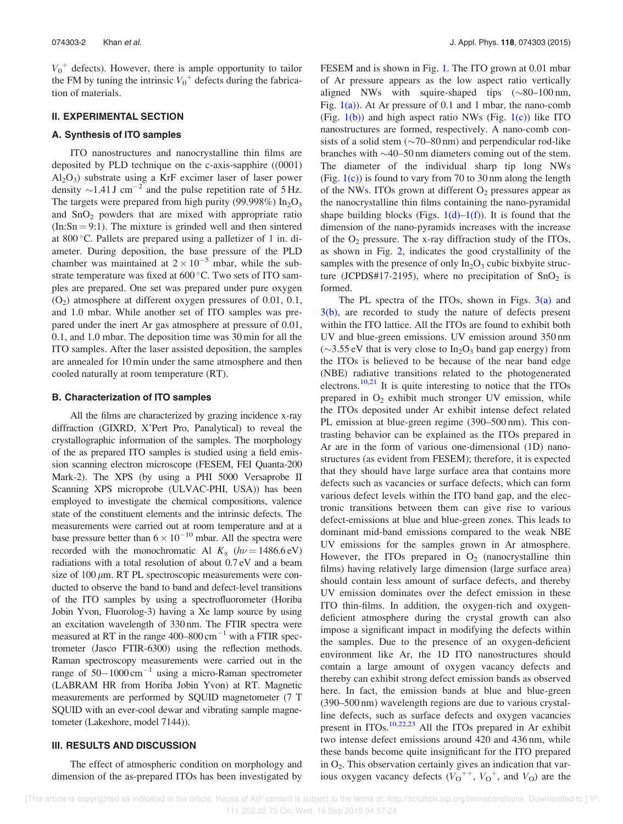$V_0^+$  defects). However, there is ample opportunity to tailor the FM by tuning the intrinsic  $V_0^+$  defects during the fabrication of materials.

## II. EXPERIMENTAL SECTION

### A. Synthesis of ITO samples

ITO nanostructures and nanocrystalline thin films are deposited by PLD technique on the c-axis-sapphire ((0001)  $Al_2O_3$ ) substrate using a KrF excimer laser of laser power density  $\sim$ 1.41 J cm<sup>-2</sup> and the pulse repetition rate of 5 Hz. The targets were prepared from high purity (99.998%)  $In_2O_3$ and  $SnO<sub>2</sub>$  powders that are mixed with appropriate ratio  $(In:Sn = 9:1)$ . The mixture is grinded well and then sintered at  $800^{\circ}$ C. Pallets are prepared using a palletizer of 1 in. diameter. During deposition, the base pressure of the PLD chamber was maintained at  $2 \times 10^{-5}$  mbar, while the substrate temperature was fixed at 600 °C. Two sets of ITO samples are prepared. One set was prepared under pure oxygen  $(O<sub>2</sub>)$  atmosphere at different oxygen pressures of 0.01, 0.1, and 1.0 mbar. While another set of ITO samples was prepared under the inert Ar gas atmosphere at pressure of 0.01, 0.1, and 1.0 mbar. The deposition time was 30 min for all the ITO samples. After the laser assisted deposition, the samples are annealed for 10 min under the same atmosphere and then cooled naturally at room temperature (RT).

#### B. Characterization of ITO samples

All the films are characterized by grazing incidence x-ray diffraction (GIXRD, X'Pert Pro, Panalytical) to reveal the crystallographic information of the samples. The morphology of the as prepared ITO samples is studied using a field emission scanning electron microscope (FESEM, FEI Quanta-200 Mark-2). The XPS (by using a PHI 5000 Versaprobe II Scanning XPS microprobe (ULVAC-PHI, USA)) has been employed to investigate the chemical compositions, valence state of the constituent elements and the intrinsic defects. The measurements were carried out at room temperature and at a base pressure better than  $6 \times 10^{-10}$  mbar. All the spectra were recorded with the monochromatic Al  $K_{\alpha}$  ( $h\nu = 1486.6 \text{ eV}$ ) radiations with a total resolution of about 0.7 eV and a beam size of  $100 \mu m$ . RT PL spectroscopic measurements were conducted to observe the band to band and defect-level transitions of the ITO samples by using a spectrofluorometer (Horiba Jobin Yvon, Fluorolog-3) having a Xe lamp source by using an excitation wavelength of 330 nm. The FTIR spectra were measured at RT in the range  $400-800 \text{ cm}^{-1}$  with a FTIR spectrometer (Jasco FTIR-6300) using the reflection methods. Raman spectroscopy measurements were carried out in the range of  $50-1000 \text{ cm}^{-1}$  using a micro-Raman spectrometer (LABRAM HR from Horiba Jobin Yvon) at RT. Magnetic measurements are performed by SQUID magnetometer (7 T SQUID with an ever-cool dewar and vibrating sample magnetometer (Lakeshore, model 7144)).

#### III. RESULTS AND DISCUSSION

The effect of atmospheric condition on morphology and dimension of the as-prepared ITOs has been investigated by FESEM and is shown in Fig. 1. The ITO grown at 0.01 mbar of Ar pressure appears as the low aspect ratio vertically aligned NWs with squire-shaped tips  $(\sim 80-100 \text{ nm},$ Fig.  $1(a)$ ). At Ar pressure of 0.1 and 1 mbar, the nano-comb (Fig.  $1(b)$ ) and high aspect ratio NWs (Fig.  $1(c)$ ) like ITO nanostructures are formed, respectively. A nano-comb consists of a solid stem  $(\sim 70-80 \text{ nm})$  and perpendicular rod-like branches with  $\sim$ 40–50 nm diameters coming out of the stem. The diameter of the individual sharp tip long NWs (Fig.  $1(c)$ ) is found to vary from 70 to 30 nm along the length of the NWs. ITOs grown at different  $O_2$  pressures appear as the nanocrystalline thin films containing the nano-pyramidal shape building blocks (Figs.  $1(d)-1(f)$ ). It is found that the dimension of the nano-pyramids increases with the increase of the  $O_2$  pressure. The x-ray diffraction study of the ITOs, as shown in Fig. 2, indicates the good crystallinity of the samples with the presence of only  $In_2O_3$  cubic bixbyite structure (JCPDS#17-2195), where no precipitation of  $SnO<sub>2</sub>$  is formed.

The PL spectra of the ITOs, shown in Figs.  $3(a)$  and 3(b), are recorded to study the nature of defects present within the ITO lattice. All the ITOs are found to exhibit both UV and blue-green emissions. UV emission around 350 nm  $(\sim 3.55 \text{ eV}$  that is very close to In<sub>2</sub>O<sub>3</sub> band gap energy) from the ITOs is believed to be because of the near band edge (NBE) radiative transitions related to the photogenerated electrons.<sup>10,21</sup> It is quite interesting to notice that the ITOs prepared in  $O_2$  exhibit much stronger UV emission, while the ITOs deposited under Ar exhibit intense defect related PL emission at blue-green regime (390–500 nm). This contrasting behavior can be explained as the ITOs prepared in Ar are in the form of various one-dimensional (1D) nanostructures (as evident from FESEM); therefore, it is expected that they should have large surface area that contains more defects such as vacancies or surface defects, which can form various defect levels within the ITO band gap, and the electronic transitions between them can give rise to various defect-emissions at blue and blue-green zones. This leads to dominant mid-band emissions compared to the weak NBE UV emissions for the samples grown in Ar atmosphere. However, the ITOs prepared in  $O_2$  (nanocrystalline thin films) having relatively large dimension (large surface area) should contain less amount of surface defects, and thereby UV emission dominates over the defect emission in these ITO thin-films. In addition, the oxygen-rich and oxygendeficient atmosphere during the crystal growth can also impose a significant impact in modifying the defects within the samples. Due to the presence of an oxygen-deficient environment like Ar, the 1D ITO nanostructures should contain a large amount of oxygen vacancy defects and thereby can exhibit strong defect emission bands as observed here. In fact, the emission bands at blue and blue-green (390–500 nm) wavelength regions are due to various crystalline defects, such as surface defects and oxygen vacancies present in ITOs.10,22,23 All the ITOs prepared in Ar exhibit two intense defect emissions around 420 and 436 nm, while these bands become quite insignificant for the ITO prepared in  $O_2$ . This observation certainly gives an indication that various oxygen vacancy defects  $(V_0^{++}, V_0^+, \text{ and } V_0)$  are the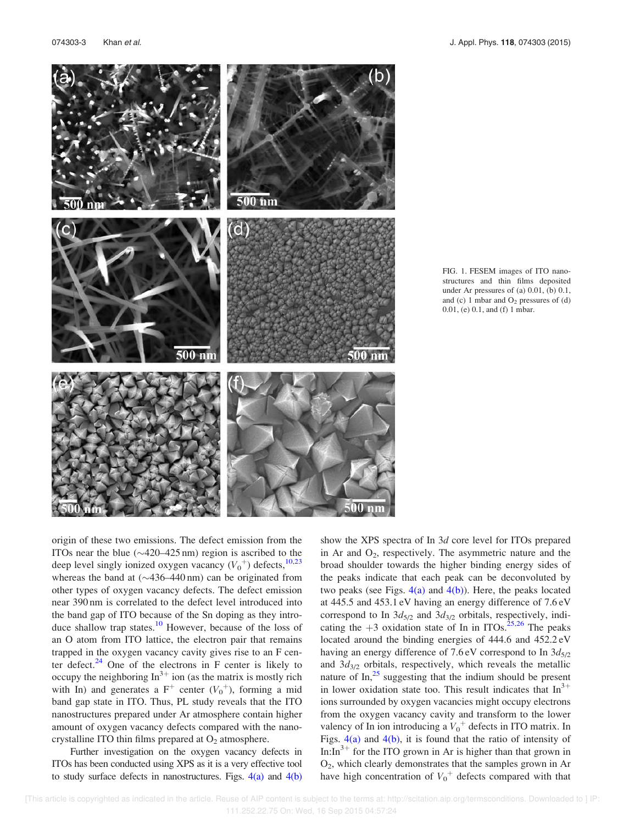

FIG. 1. FESEM images of ITO nanostructures and thin films deposited under Ar pressures of (a) 0.01, (b) 0.1, and (c) 1 mbar and  $O_2$  pressures of (d) 0.01, (e) 0.1, and (f) 1 mbar.

origin of these two emissions. The defect emission from the ITOs near the blue  $(\sim 420 - 425 \text{ nm})$  region is ascribed to the deep level singly ionized oxygen vacancy  $(V_0^+)$  defects,  $^{10,23}$ whereas the band at  $(\sim 436 - 440)$  nm) can be originated from other types of oxygen vacancy defects. The defect emission near 390 nm is correlated to the defect level introduced into the band gap of ITO because of the Sn doping as they introduce shallow trap states.<sup>10</sup> However, because of the loss of an O atom from ITO lattice, the electron pair that remains trapped in the oxygen vacancy cavity gives rise to an F center defect. $24$  One of the electrons in F center is likely to occupy the neighboring  $\text{In}^{3+}$  ion (as the matrix is mostly rich with In) and generates a  $F^+$  center  $(V_0^+)$ , forming a mid band gap state in ITO. Thus, PL study reveals that the ITO nanostructures prepared under Ar atmosphere contain higher amount of oxygen vacancy defects compared with the nanocrystalline ITO thin films prepared at  $O_2$  atmosphere.

Further investigation on the oxygen vacancy defects in ITOs has been conducted using XPS as it is a very effective tool to study surface defects in nanostructures. Figs.  $4(a)$  and  $4(b)$  show the XPS spectra of In 3d core level for ITOs prepared in Ar and  $O_2$ , respectively. The asymmetric nature and the broad shoulder towards the higher binding energy sides of the peaks indicate that each peak can be deconvoluted by two peaks (see Figs.  $4(a)$  and  $4(b)$ ). Here, the peaks located at 445.5 and 453.1 eV having an energy difference of 7.6 eV correspond to In  $3d_{5/2}$  and  $3d_{3/2}$  orbitals, respectively, indicating the  $+3$  oxidation state of In in ITOs.<sup>25,26</sup> The peaks located around the binding energies of 444.6 and 452.2 eV having an energy difference of 7.6 eV correspond to In  $3d_{5/2}$ and  $3d_{3/2}$  orbitals, respectively, which reveals the metallic nature of  $\text{In}^{25}$  suggesting that the indium should be present in lower oxidation state too. This result indicates that  $In<sup>3+</sup>$ ions surrounded by oxygen vacancies might occupy electrons from the oxygen vacancy cavity and transform to the lower valency of In ion introducing a  $V_0^+$  defects in ITO matrix. In Figs.  $4(a)$  and  $4(b)$ , it is found that the ratio of intensity of In: $In^{3+}$  for the ITO grown in Ar is higher than that grown in O2, which clearly demonstrates that the samples grown in Ar have high concentration of  $V_0^+$  defects compared with that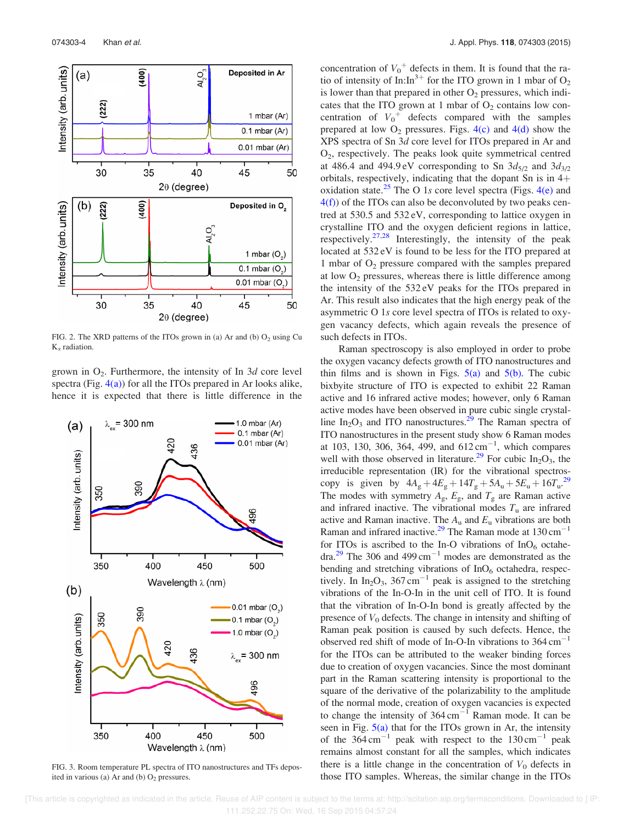

FIG. 2. The XRD patterns of the ITOs grown in (a) Ar and (b)  $O_2$  using Cu  $K_{\alpha}$  radiation.

grown in  $O_2$ . Furthermore, the intensity of In  $3d$  core level spectra (Fig.  $4(a)$ ) for all the ITOs prepared in Ar looks alike, hence it is expected that there is little difference in the



FIG. 3. Room temperature PL spectra of ITO nanostructures and TFs deposited in various (a) Ar and (b)  $O<sub>2</sub>$  pressures.

concentration of  $V_0^+$  defects in them. It is found that the ratio of intensity of  $In: In^{3+}$  for the ITO grown in 1 mbar of O<sub>2</sub> is lower than that prepared in other  $O<sub>2</sub>$  pressures, which indicates that the ITO grown at 1 mbar of  $O<sub>2</sub>$  contains low concentration of  $V_0^+$  defects compared with the samples prepared at low  $O_2$  pressures. Figs.  $4(c)$  and  $4(d)$  show the XPS spectra of Sn 3d core level for ITOs prepared in Ar and O2 , respectively. The peaks look quite symmetrical centred at 486.4 and 494.9 eV corresponding to Sn  $3d_{5/2}$  and  $3d_{3/2}$ orbitals, respectively, indicating that the dopant Sn is in  $4+$ oxidation state.<sup>25</sup> The O 1s core level spectra (Figs.  $4(e)$  and  $4(f)$ ) of the ITOs can also be deconvoluted by two peaks centred at 530.5 and 532 eV, corresponding to lattice oxygen in crystalline ITO and the oxygen deficient regions in lattice, respectively. $27,28$  Interestingly, the intensity of the peak located at 532 eV is found to be less for the ITO prepared at 1 mbar of  $O<sub>2</sub>$  pressure compared with the samples prepared at low  $O_2$  pressures, whereas there is little difference among the intensity of the 532 eV peaks for the ITOs prepared in Ar. This result also indicates that the high energy peak of the asymmetric O 1s core level spectra of ITOs is related to oxygen vacancy defects, which again reveals the presence of such defects in ITOs.

Raman spectroscopy is also employed in order to probe the oxygen vacancy defects growth of ITO nanostructures and thin films and is shown in Figs.  $5(a)$  and  $5(b)$ . The cubic bixbyite structure of ITO is expected to exhibit 22 Raman active and 16 infrared active modes; however, only 6 Raman active modes have been observed in pure cubic single crystalline  $In_2O_3$  and ITO nanostructures.<sup>29</sup> The Raman spectra of ITO nanostructures in the present study show 6 Raman modes at 103, 130, 306, 364, 499, and  $612 \text{ cm}^{-1}$ , which compares well with those observed in literature.<sup>29</sup> For cubic In<sub>2</sub>O<sub>3</sub>, the irreducible representation (IR) for the vibrational spectroscopy is given by  $4A_g + 4E_g + 14T_g + 5A_u + 5E_u + 16T_u^{29}$ The modes with symmetry  $A_{\rm g}$ ,  $E_{\rm g}$ , and  $T_{\rm g}$  are Raman active and infrared inactive. The vibrational modes  $T_u$  are infrared active and Raman inactive. The  $A_u$  and  $E_u$  vibrations are both Raman and infrared inactive.<sup>29</sup> The Raman mode at  $130 \text{ cm}^{-1}$ for ITOs is ascribed to the In-O vibrations of  $InO<sub>6</sub>$  octahedra.<sup>29</sup> The 306 and 499 cm<sup>-1</sup> modes are demonstrated as the bending and stretching vibrations of  $InO<sub>6</sub>$  octahedra, respectively. In In<sub>2</sub>O<sub>3</sub>, 367 cm<sup>-1</sup> peak is assigned to the stretching vibrations of the In-O-In in the unit cell of ITO. It is found that the vibration of In-O-In bond is greatly affected by the presence of  $V_0$  defects. The change in intensity and shifting of Raman peak position is caused by such defects. Hence, the observed red shift of mode of In-O-In vibrations to  $364 \text{ cm}^{-1}$ for the ITOs can be attributed to the weaker binding forces due to creation of oxygen vacancies. Since the most dominant part in the Raman scattering intensity is proportional to the square of the derivative of the polarizability to the amplitude of the normal mode, creation of oxygen vacancies is expected to change the intensity of  $364 \text{ cm}^{-1}$  Raman mode. It can be seen in Fig. 5(a) that for the ITOs grown in Ar, the intensity of the  $364 \text{ cm}^{-1}$  peak with respect to the  $130 \text{ cm}^{-1}$  peak remains almost constant for all the samples, which indicates there is a little change in the concentration of  $V_0$  defects in those ITO samples. Whereas, the similar change in the ITOs

 [This article is copyrighted as indicated in the article. Reuse of AIP content is subject to the terms at: http://scitation.aip.org/termsconditions. Downloaded to ] IP: 111.252.22.75 On: Wed, 16 Sep 2015 04:57:24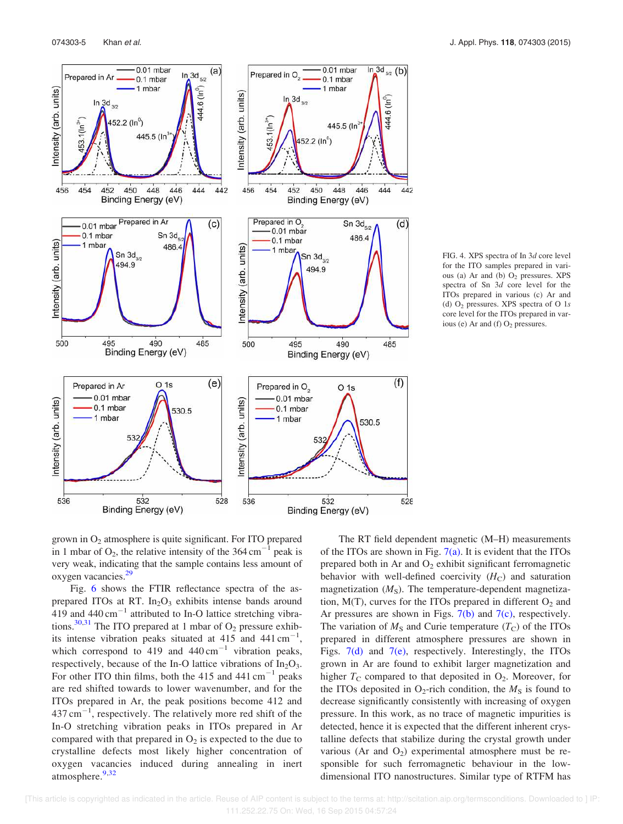

FIG. 4. XPS spectra of In 3d core level for the ITO samples prepared in various (a) Ar and (b)  $O<sub>2</sub>$  pressures. XPS spectra of Sn 3d core level for the ITOs prepared in various (c) Ar and (d) O<sup>2</sup> pressures. XPS spectra of O 1s core level for the ITOs prepared in various (e) Ar and (f)  $O<sub>2</sub>$  pressures.

grown in  $O<sub>2</sub>$  atmosphere is quite significant. For ITO prepared in 1 mbar of  $O_2$ , the relative intensity of the 364 cm<sup>-1</sup> peak is very weak, indicating that the sample contains less amount of oxygen vacancies.<sup>29</sup>

Fig. 6 shows the FTIR reflectance spectra of the asprepared ITOs at RT.  $In<sub>2</sub>O<sub>3</sub>$  exhibits intense bands around  $419$  and  $440 \text{ cm}^{-1}$  attributed to In-O lattice stretching vibrations.<sup>30,31</sup> The ITO prepared at 1 mbar of  $O_2$  pressure exhibits intense vibration peaks situated at  $415$  and  $441 \text{ cm}^{-1}$ , which correspond to 419 and  $440 \text{ cm}^{-1}$  vibration peaks, respectively, because of the In-O lattice vibrations of  $In_2O_3$ . For other ITO thin films, both the 415 and 441 cm<sup>-1</sup> peaks are red shifted towards to lower wavenumber, and for the ITOs prepared in Ar, the peak positions become 412 and  $437 \text{ cm}^{-1}$ , respectively. The relatively more red shift of the In-O stretching vibration peaks in ITOs prepared in Ar compared with that prepared in  $O_2$  is expected to the due to crystalline defects most likely higher concentration of oxygen vacancies induced during annealing in inert atmosphere.<sup>9,32</sup>

The RT field dependent magnetic (M–H) measurements of the ITOs are shown in Fig.  $7(a)$ . It is evident that the ITOs prepared both in Ar and  $O_2$  exhibit significant ferromagnetic behavior with well-defined coercivity  $(H_C)$  and saturation magnetization  $(M<sub>S</sub>)$ . The temperature-dependent magnetization,  $M(T)$ , curves for the ITOs prepared in different  $O_2$  and Ar pressures are shown in Figs.  $7(b)$  and  $7(c)$ , respectively. The variation of  $M<sub>S</sub>$  and Curie temperature  $(T<sub>C</sub>)$  of the ITOs prepared in different atmosphere pressures are shown in Figs. 7(d) and 7(e), respectively. Interestingly, the ITOs grown in Ar are found to exhibit larger magnetization and higher  $T_c$  compared to that deposited in  $O_2$ . Moreover, for the ITOs deposited in O<sub>2</sub>-rich condition, the  $M<sub>S</sub>$  is found to decrease significantly consistently with increasing of oxygen pressure. In this work, as no trace of magnetic impurities is detected, hence it is expected that the different inherent crystalline defects that stabilize during the crystal growth under various (Ar and  $O_2$ ) experimental atmosphere must be responsible for such ferromagnetic behaviour in the lowdimensional ITO nanostructures. Similar type of RTFM has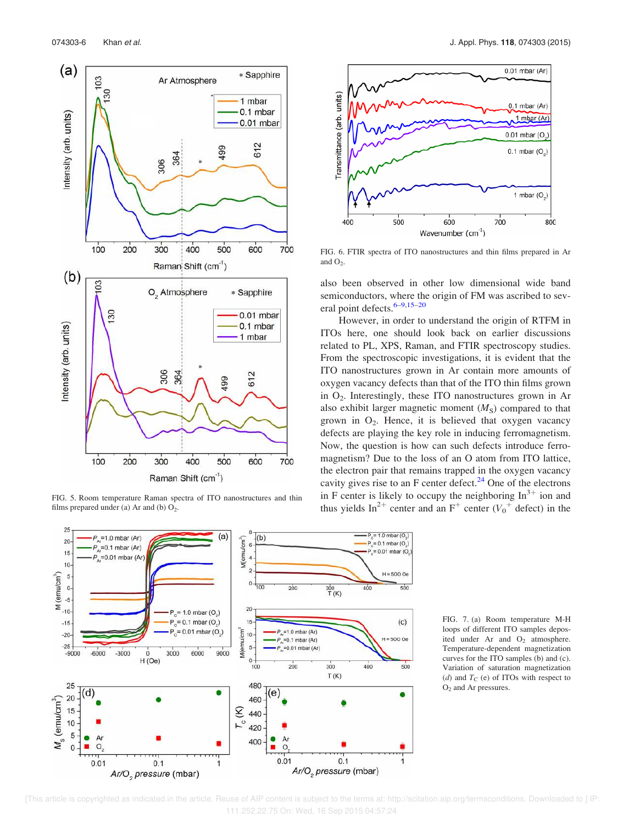

FIG. 5. Room temperature Raman spectra of ITO nanostructures and thin films prepared under (a) Ar and (b)  $O_2$ .





FIG. 6. FTIR spectra of ITO nanostructures and thin films prepared in Ar and  $O<sub>2</sub>$ .

also been observed in other low dimensional wide band semiconductors, where the origin of FM was ascribed to several point defects.<sup>6–9,15–20</sup>

However, in order to understand the origin of RTFM in ITOs here, one should look back on earlier discussions related to PL, XPS, Raman, and FTIR spectroscopy studies. From the spectroscopic investigations, it is evident that the ITO nanostructures grown in Ar contain more amounts of oxygen vacancy defects than that of the ITO thin films grown in O<sub>2</sub>. Interestingly, these ITO nanostructures grown in Ar also exhibit larger magnetic moment  $(M<sub>S</sub>)$  compared to that grown in  $O_2$ . Hence, it is believed that oxygen vacancy defects are playing the key role in inducing ferromagnetism. Now, the question is how can such defects introduce ferromagnetism? Due to the loss of an O atom from ITO lattice, the electron pair that remains trapped in the oxygen vacancy cavity gives rise to an F center defect.<sup>24</sup> One of the electrons in F center is likely to occupy the neighboring  $In^{3+}$  ion and thus yields In<sup>2+</sup> center and an F<sup>+</sup> center ( $V_0$ <sup>+</sup> defect) in the



FIG. 7. (a) Room temperature M-H loops of different ITO samples deposited under Ar and  $O_2$  atmosphere. Temperature-dependent magnetization curves for the ITO samples (b) and (c). Variation of saturation magnetization (d) and  $T_C$  (e) of ITOs with respect to O<sup>2</sup> and Ar pressures.

 [This article is copyrighted as indicated in the article. Reuse of AIP content is subject to the terms at: http://scitation.aip.org/termsconditions. Downloaded to ] IP: 111.252.22.75 On: Wed, 16 Sep 2015 04:57:24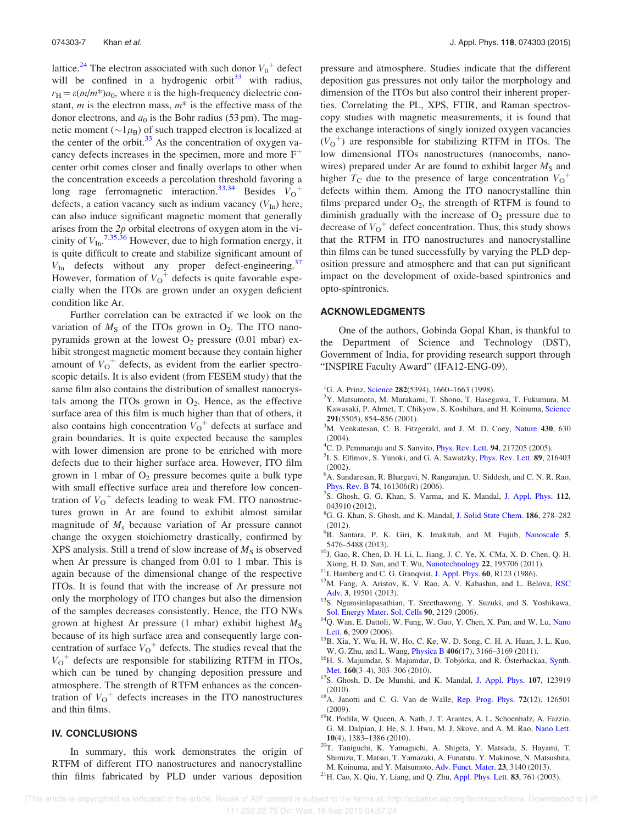lattice.<sup>24</sup> The electron associated with such donor  $V_0^+$  defect will be confined in a hydrogenic orbit<sup>33</sup> with radius,  $r_H = \varepsilon(m/m^*)a_0$ , where  $\varepsilon$  is the high-frequency dielectric constant,  $m$  is the electron mass,  $m^*$  is the effective mass of the donor electrons, and  $a_0$  is the Bohr radius (53 pm). The magnetic moment ( $\sim$ 1 $\mu$ <sub>B</sub>) of such trapped electron is localized at the center of the orbit. $33$  As the concentration of oxygen vacancy defects increases in the specimen, more and more  $F^+$ center orbit comes closer and finally overlaps to other when the concentration exceeds a percolation threshold favoring a long rage ferromagnetic interaction.<sup>33,34</sup> Besides  $V_0^+$ defects, a cation vacancy such as indium vacancy  $(V_{In})$  here, can also induce significant magnetic moment that generally arises from the  $2p$  orbital electrons of oxygen atom in the vicinity of  $V_{\text{In.}}^{7,35,\overline{36}}$  However, due to high formation energy, it is quite difficult to create and stabilize significant amount of  $V_{\text{In}}$  defects without any proper defect-engineering.<sup>37</sup> However, formation of  $V_{\text{O}}^+$  defects is quite favorable especially when the ITOs are grown under an oxygen deficient condition like Ar.

Further correlation can be extracted if we look on the variation of  $M<sub>S</sub>$  of the ITOs grown in  $O<sub>2</sub>$ . The ITO nanopyramids grown at the lowest  $O_2$  pressure (0.01 mbar) exhibit strongest magnetic moment because they contain higher amount of  $V_O^+$  defects, as evident from the earlier spectroscopic details. It is also evident (from FESEM study) that the same film also contains the distribution of smallest nanocrystals among the ITOs grown in  $O_2$ . Hence, as the effective surface area of this film is much higher than that of others, it also contains high concentration  $V_{\text{o}}^{+}$  defects at surface and grain boundaries. It is quite expected because the samples with lower dimension are prone to be enriched with more defects due to their higher surface area. However, ITO film grown in 1 mbar of  $O_2$  pressure becomes quite a bulk type with small effective surface area and therefore low concentration of  $V_{O}^{\dagger}$  defects leading to weak FM. ITO nanostructures grown in Ar are found to exhibit almost similar magnitude of  $M<sub>s</sub>$  because variation of Ar pressure cannot change the oxygen stoichiometry drastically, confirmed by XPS analysis. Still a trend of slow increase of  $M<sub>S</sub>$  is observed when Ar pressure is changed from 0.01 to 1 mbar. This is again because of the dimensional change of the respective ITOs. It is found that with the increase of Ar pressure not only the morphology of ITO changes but also the dimension of the samples decreases consistently. Hence, the ITO NWs grown at highest Ar pressure (1 mbar) exhibit highest  $M<sub>S</sub>$ because of its high surface area and consequently large concentration of surface  $V_{O}^{\dagger}$  defects. The studies reveal that the  $V_O^+$  defects are responsible for stabilizing RTFM in ITOs, which can be tuned by changing deposition pressure and atmosphere. The strength of RTFM enhances as the concentration of  $V_O^+$  defects increases in the ITO nanostructures and thin films.

## IV. CONCLUSIONS

In summary, this work demonstrates the origin of RTFM of different ITO nanostructures and nanocrystalline thin films fabricated by PLD under various deposition pressure and atmosphere. Studies indicate that the different deposition gas pressures not only tailor the morphology and dimension of the ITOs but also control their inherent properties. Correlating the PL, XPS, FTIR, and Raman spectroscopy studies with magnetic measurements, it is found that the exchange interactions of singly ionized oxygen vacancies  $(V<sub>O</sub><sup>+</sup>)$  are responsible for stabilizing RTFM in ITOs. The low dimensional ITOs nanostructures (nanocombs, nanowires) prepared under Ar are found to exhibit larger  $M<sub>S</sub>$  and higher  $T_{\rm C}$  due to the presence of large concentration  $V_{\rm O}$ <sup>+</sup> defects within them. Among the ITO nanocrystalline thin films prepared under  $O_2$ , the strength of RTFM is found to diminish gradually with the increase of  $O<sub>2</sub>$  pressure due to decrease of  $V_{\text{O}}^+$  defect concentration. Thus, this study shows that the RTFM in ITO nanostructures and nanocrystalline thin films can be tuned successfully by varying the PLD deposition pressure and atmosphere and that can put significant impact on the development of oxide-based spintronics and opto-spintronics.

#### ACKNOWLEDGMENTS

One of the authors, Gobinda Gopal Khan, is thankful to the Department of Science and Technology (DST), Government of India, for providing research support through "INSPIRE Faculty Award" (IFA12-ENG-09).

- <sup>1</sup>G. A. Prinz, Science 282(5394), 1660–1663 (1998).
- <sup>2</sup>Y. Matsumoto, M. Murakami, T. Shono, T. Hasegawa, T. Fukumura, M. Kawasaki, P. Ahmet, T. Chikyow, S. Koshihara, and H. Koinuma, Science 291(5505), 854–856 (2001).
- $3<sup>3</sup>M$ . Venkatesan, C. B. Fitzgerald, and J. M. D. Coey, Nature 430, 630 (2004).
- ${}^{4}$ C. D. Pemmaraju and S. Sanvito, *Phys. Rev. Lett.* 94, 217205 (2005).
- <sup>5</sup>I. S. Elfimov, S. Yunoki, and G. A. Sawatzky, *Phys. Rev. Lett.* 89, 216403 (2002).
- <sup>6</sup>A. Sundaresan, R. Bhargavi, N. Rangarajan, U. Siddesh, and C. N. R. Rao, Phys. Rev. B 74, 161306(R) (2006).
- <sup>7</sup>S. Ghosh, G. G. Khan, S. Varma, and K. Mandal, J. Appl. Phys. 112, 043910 (2012).
- <sup>8</sup>G. G. Khan, S. Ghosh, and K. Mandal, J. Solid State Chem. 186, 278–282 (2012).
- <sup>9</sup>B. Santara, P. K. Giri, K. Imakitab, and M. Fujiib, Nanoscale 5, 5476–5488 (2013).
- <sup>10</sup>J. Gao, R. Chen, D. H. Li, L. Jiang, J. C. Ye, X. CMa, X. D. Chen, Q. H. Xiong, H. D. Sun, and T. Wu, Nanotechnology 22, 195706 (2011).
- <sup>11</sup>I. Hamberg and C. G. Granqvist, J. Appl. Phys. 60, R123 (1986).
- <sup>12</sup>M. Fang, A. Aristov, K. V. Rao, A. V. Kabashin, and L. Belova, RSC Adv. 3, 19501 (2013).
- <sup>13</sup>S. Ngamsinlapasathian, T. Sreethawong, Y. Suzuki, and S. Yoshikawa, Sol. Energy Mater. Sol. Cells 90, 2129 (2006).
- <sup>14</sup>Q. Wan, E. Dattoli, W. Fung, W. Guo, Y. Chen, X. Pan, and W. Lu, Nano Lett. 6, 2909 (2006).
- <sup>15</sup>B. Xia, Y. Wu, H. W. Ho, C. Ke, W. D. Song, C. H. A. Huan, J. L. Kuo, W. G. Zhu, and L. Wang, Physica B 406(17), 3166–3169 (2011).
- <sup>16</sup>H. S. Majumdar, S. Majumdar, D. Tobjörka, and R. Österbackaa, Synth. Met. 160(3–4), 303–306 (2010).
- <sup>17</sup>S. Ghosh, D. De Munshi, and K. Mandal, J. Appl. Phys. **107**, 123919 (2010).
- <sup>18</sup>A. Janotti and C. G. Van de Walle, Rep. Prog. Phys. 72(12), 126501 (2009).
- <sup>19</sup>R. Podila, W. Queen, A. Nath, J. T. Arantes, A. L. Schoenhalz, A. Fazzio, G. M. Dalpian, J. He, S. J. Hwu, M. J. Skove, and A. M. Rao, Nano Lett. 10(4), 1383–1386 (2010).
- <sup>20</sup>T. Taniguchi, K. Yamaguchi, A. Shigeta, Y. Matsuda, S. Hayami, T. Shimizu, T. Matsui, T. Yamazaki, A. Funatstu, Y. Makinose, N. Matsushita, M. Koinuma, and Y. Matsumoto, Adv. Funct. Mater. 23, 3140 (2013).
- $^{21}$ H. Cao, X. Qiu, Y. Liang, and Q. Zhu, Appl. Phys. Lett. 83, 761 (2003).